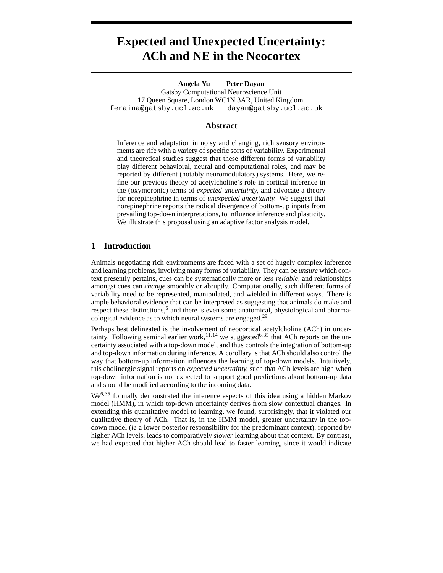# **Expected and Unexpected Uncertainty: ACh and NE in the Neocortex**

**Angela Yu Peter Dayan** Gatsby Computational Neuroscience Unit 17 Queen Square, London WC1N 3AR, United Kingdom. feraina@gatsby.ucl.ac.uk dayan@gatsby.ucl.ac.uk

#### **Abstract**

Inference and adaptation in noisy and changing, rich sensory environments are rife with a variety of specific sorts of variability. Experimental and theoretical studies suggest that these different forms of variability play different behavioral, neural and computational roles, and may be reported by different (notably neuromodulatory) systems. Here, we refine our previous theory of acetylcholine's role in cortical inference in the (oxymoronic) terms of *expected uncertainty,* and advocate a theory for norepinephrine in terms of *unexpected uncertainty.* We suggest that norepinephrine reports the radical divergence of bottom-up inputs from prevailing top-down interpretations, to influence inference and plasticity. We illustrate this proposal using an adaptive factor analysis model.

#### **1 Introduction**

Animals negotiating rich environments are faced with a set of hugely complex inference and learning problems, involving many forms of variability. They can be *unsure* which context presently pertains, cues can be systematically more or less *reliable,* and relationships amongst cues can *change* smoothly or abruptly. Computationally, such different forms of variability need to be represented, manipulated, and wielded in different ways. There is ample behavioral evidence that can be interpreted as suggesting that animals do make and respect these distinctions,<sup>5</sup> and there is even some anatomical, physiological and pharmacological evidence as to which neural systems are engaged.<sup>29</sup>

Perhaps best delineated is the involvement of neocortical acetylcholine (ACh) in uncertainty. Following seminal earlier work,<sup>11, 14</sup> we suggested<sup>6, 35</sup> that ACh reports on the uncertainty associated with a top-down model, and thus controls the integration of bottom-up and top-down information during inference. A corollary is that ACh should also control the way that bottom-up information influences the learning of top-down models. Intuitively, this cholinergic signal reports on *expected uncertainty,* such that ACh levels are high when top-down information is not expected to support good predictions about bottom-up data and should be modified according to the incoming data.

 $We<sup>6,35</sup>$  formally demonstrated the inference aspects of this idea using a hidden Markov model (HMM), in which top-down uncertainty derives from slow contextual changes. In extending this quantitative model to learning, we found, surprisingly, that it violated our qualitative theory of ACh. That is, in the HMM model, greater uncertainty in the topdown model (*ie* a lower posterior responsibility for the predominant context), reported by higher ACh levels, leads to comparatively *slower* learning about that context. By contrast, we had expected that higher ACh should lead to faster learning, since it would indicate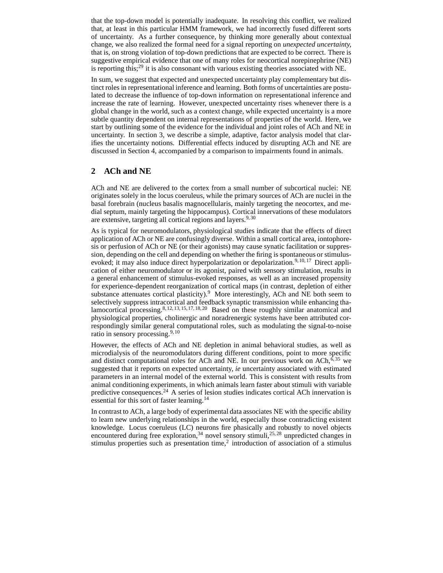that the top-down model is potentially inadequate. In resolving this conflict, we realized that, at least in this particular HMM framework, we had incorrectly fused different sorts of uncertainty. As a further consequence, by thinking more generally about contextual change, we also realized the formal need for a signal reporting on *unexpected uncertainty,* that is, on strong violation of top-down predictions that are expected to be correct. There is suggestive empirical evidence that one of many roles for neocortical norepinephrine (NE) is reporting this;<sup>29</sup> it is also consonant with various existing theories associated with NE.

In sum, we suggest that expected and unexpected uncertainty play complementary but distinct roles in representational inference and learning. Both forms of uncertainties are postulated to decrease the influence of top-down information on representational inference and increase the rate of learning. However, unexpected uncertainty rises whenever there is a global change in the world, such as a context change, while expected uncertainty is a more subtle quantity dependent on internal representations of properties of the world. Here, we start by outlining some of the evidence for the individual and joint roles of ACh and NE in uncertainty. In section 3, we describe a simple, adaptive, factor analysis model that clarifies the uncertainty notions. Differential effects induced by disrupting ACh and NE are discussed in Section 4, accompanied by a comparison to impairments found in animals.

## **2 ACh and NE**

ACh and NE are delivered to the cortex from a small number of subcortical nuclei: NE originates solely in the locus coeruleus, while the primary sources of ACh are nuclei in the basal forebrain (nucleus basalis magnocellularis, mainly targeting the neocortex, and medial septum, mainly targeting the hippocampus). Cortical innervations of these modulators are extensive, targeting all cortical regions and layers.  $9,30$ 

As is typical for neuromodulators, physiological studies indicate that the effects of direct application of ACh or NE are confusingly diverse. Within a small cortical area, iontophoresis or perfusion of ACh or NE (or their agonists) may cause synatic facilitation or suppression, depending on the cell and depending on whether the firing is spontaneous or stimulusevoked; it may also induce direct hyperpolarization or depolarization.<sup>9, 10, 17</sup> Direct application of either neuromodulator or its agonist, paired with sensory stimulation, results in a general enhancement of stimulus-evoked responses, as well as an increased propensity for experience-dependent reorganization of cortical maps (in contrast, depletion of either substance attenuates cortical plasticity).<sup>9</sup> More interestingly, ACh and NE both seem to selectively suppress intracortical and feedback synaptic transmission while enhancing thalamocortical processing.<sup>8, 12, 13, 15, 17, 18, 20</sup> Based on these roughly similar anatomical and physiological properties, cholinergic and noradrenergic systems have been attributed correspondingly similar general computational roles, such as modulating the signal-to-noise ratio in sensory processing. $9,10$ 

However, the effects of ACh and NE depletion in animal behavioral studies, as well as microdialysis of the neuromodulators during different conditions, point to more specific and distinct computational roles for ACh and NE. In our previous work on ACh,  $6,35$  we suggested that it reports on expected uncertainty, *ie* uncertainty associated with estimated parameters in an internal model of the external world. This is consistent with results from animal conditioning experiments, in which animals learn faster about stimuli with variable predictive consequences.<sup>24</sup> A series of lesion studies indicates cortical ACh innervation is essential for this sort of faster learning.<sup>14</sup>

In contrast to ACh, a large body of experimental data associates NE with the specific ability to learn new underlying relationships in the world, especially those contradicting existent knowledge. Locus coeruleus (LC) neurons fire phasically and robustly to novel objects encountered during free exploration,<sup>34</sup> novel sensory stimuli,<sup>25, 28</sup> unpredicted changes in stimulus properties such as presentation time,<sup>2</sup> introduction of association of a stimulus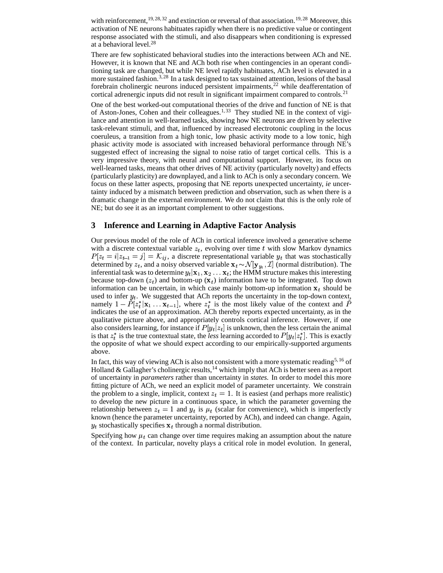with reinforcement,  $19, 28, 32$  and extinction or reversal of that association.  $19, 28$  Moreover, this activation of NE neurons habituates rapidly when there is no predictive value or contingent response associated with the stimuli, and also disappears when conditioning is expressed at a behavioral level.<sup>28</sup>

There are few sophisticated behavioral studies into the interactions between ACh and NE. However, it is known that NE and ACh both rise when contingencies in an operant conditioning task are changed, but while NE level rapidly habituates, ACh level is elevated in a more sustained fashion.<sup>3, 28</sup> In a task designed to tax sustained attention, lesions of the basal forebrain cholinergic neurons induced persistent impairments,<sup>22</sup> while deafferentation of cortical adrenergic inputs did not result in significant impairment compared to controls.<sup>21</sup>

One of the best worked-out computational theories of the drive and function of NE is that of Aston-Jones, Cohen and their colleagues.<sup>1, 33</sup> They studied NE in the context of vigilance and attention in well-learned tasks, showing how NE neurons are driven by selective task-relevant stimuli, and that, influenced by increased electrotonic coupling in the locus coeruleus, a transition from a high tonic, low phasic activity mode to a low tonic, high phasic activity mode is associated with increased behavioral performance through NE's suggested effect of increasing the signal to noise ratio of target cortical cells. This is a very impressive theory, with neural and computational support. However, its focus on well-learned tasks, means that other drives of NE activity (particularly novelty) and effects (particularly plasticity) are downplayed, and a link to ACh is only a secondary concern. We focus on these latter aspects, proposing that NE reports unexpected uncertainty, *ie* uncertainty induced by a mismatch between prediction and observation, such as when there is a dramatic change in the external environment. We do not claim that this is the only role of NE; but do see it as an important complement to other suggestions.

#### **3 Inference and Learning in Adaptive Factor Analysis**

Our previous model of the role of ACh in cortical inference involved a generative scheme with a discrete contextual variable  $z_t$ , evolving over time t with slow Markov dynamics  $P[z_t = i | z_{t-1} = j] = \mathcal{K}_{ij}$ , a discrete representational variable  $y_t$  that was stochastically determined by  $z_t$ , and a noisy observed variable  $\mathbf{x}_t \sim \mathcal{N}[\mathbf{y}_u, \mathcal{I}]$  (normal distribution). The inferential task was to determine  $y_t | \mathbf{x}_1, \mathbf{x}_2 \dots \mathbf{x}_t$ ; the HMM structure makes this interesting because top-down  $(z_t)$  and bottom-up  $(\mathbf{x}_t)$  information have to be integrated. Top down information can be uncertain, in which case mainly bottom-up information  $x_t$  should be used to infer  $y_t$ . We suggested that ACh reports the uncertainty in the top-down context, namely  $1 - P[z_i^* | x_1 \dots x_{t-1}]$ , where  $z_i^*$  is the most likely value of the context and P indicates the use of an approximation. ACh thereby reports expected uncertainty, as in the qualitative picture above, and appropriately controls cortical inference. However, if one also considers learning, for instance if  $P[y_t|z_t]$  is unknown, then the less certain the animal is that  $z_t^*$  is the true contextual state, the *less* learning accorded to  $P[y_t|z_t^*]$ . This is exactly the opposite of what we should expect according to our empirically-supported arguments above.

In fact, this way of viewing ACh is also not consistent with a more systematic reading5, 16 of Holland & Gallagher's cholinergic results,<sup>14</sup> which imply that ACh is better seen as a report of uncertainty in *parameters* rather than uncertainty in *states.* In order to model this more fitting picture of ACh, we need an explicit model of parameter uncertainty. We constrain the problem to a single, implicit, context  $z_t = 1$ . It is easiest (and perhaps more realistic) to develop the new picture in a continuous space, in which the parameter governing the relationship between  $z_t = 1$  and  $y_t$  is  $\mu_t$  (scalar for convenience), which is imperfectly known (hence the parameter uncertainty, reported by ACh), and indeed can change. Again,  $y_t$  stochastically specifies  $\mathbf{x}_t$  through a normal distribution.

Specifying how  $\mu_t$  can change over time requires making an assumption about the nature of the context. In particular, novelty plays a critical role in model evolution. In general,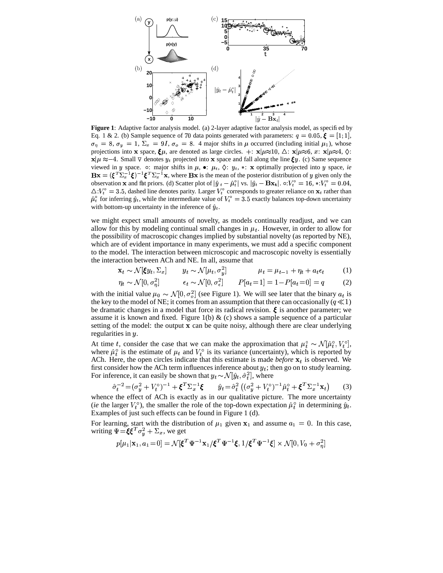

**Figure 1**: Adaptive factor analysis model. (a) 2-layer adaptive factor analysis model, as specified by Eq. 1 & 2. (b) Sample sequence of 70 data points generated with parameters:  $q = 0.05$ ,  $\boldsymbol{\xi} = [1, 1],$  $\sigma_{\eta} = 8$ ,  $\sigma_{\gamma} = 1$ ,  $\Sigma_{x} = 9I$ ,  $\sigma_{o} = 8$ . 4 major shifts in  $\mu$  occurred (including initial  $\mu_{1}$ ), whose projections into **x** space,  $\xi \mu$ , are denoted as large circles.  $\pm : \mathbf{x} | \mu \approx 10$ ,  $\Delta : \mathbf{x} | \mu \approx 6$ ,  $x: \mathbf{x} | \mu \approx 4$ ,  $\Diamond$ :  $\mathbf{x} | \mu \approx -4$ . Small  $\nabla$  denotes  $y_t$  projected into **x** space and fall along the line  $\xi y$ . (c) Same sequence viewed in y space.  $\circ$ : major shifts in  $\mu$ ,  $\bullet$ :  $\mu_t$ ,  $\Diamond$ :  $y_t$ ,  $\ast$ : **x** optimally projected into y space, *ie*  $\mathbf{B} \mathbf{x} = (\boldsymbol{\xi}^T \boldsymbol{\Sigma}_x^{-1} \boldsymbol{\xi})^{-1} \boldsymbol{\xi}^T \boldsymbol{\Sigma}_x^{-1} \mathbf{x}$ , where  $\mathbf{B} \mathbf{x}$  is the mean of the posterior distribution of y given only the observation **x** and flat priors. (d) Scatter plot of  $\left|\hat{y}_t - \hat{\mu}_t^o\right|$  vs.  $\left|\hat{y}_t - \mathbf{Bx_t}\right|$ .  $\circ: V_t^o = 16, *: V_t^o = 0.04$ .  $\triangle V_t^{\circ} = 3.5$ , dashed line denotes parity. Larger  $V_t^{\circ}$  corresponds to greater reliance on  $\mathbf{x}_t$  rather than  $\hat{\mu}_t^{\circ}$  for inferring  $\hat{y}_t$ , while the intermediate value of  $V_t^{\circ} = 3.5$  exactly balances top-down uncertainty with bottom-up uncertainty in the inference of  $\hat{y}_t$ .

we might expect small amounts of novelty, as models continually readjust, and we can allow for this by modeling continual small changes in  $\mu_t$ . However, in order to allow for the possibility of macroscopic changes implied by substantial novelty (as reported by NE), which are of evident importance in many experiments, we must add a specific component to the model. The interaction between microscopic and macroscopic novelty is essentially the interaction between ACh and NE. In all, assume that

$$
\mathbf{x}_t \sim \mathcal{N}[\xi y_t, \Sigma_x] \qquad y_t \sim \mathcal{N}[\mu_t, \sigma_y^2] \qquad \qquad \mu_t = \mu_{t-1} + \eta_t + a_t \epsilon_t \qquad (1)
$$

$$
\eta_t \sim \mathcal{N}[0, \sigma_\eta^2] \qquad \epsilon_t \sim \mathcal{N}[0, \sigma_\epsilon^2] \qquad P[a_t = 1] = 1 - P[a_t = 0] = q \qquad (2)
$$

with the initial value  $\mu_0 \sim \mathcal{N}[0, \sigma_0^2]$  (see Figure 1). We will see later that the binary  $a_t$  is the key to the model of NE; it comes from an assumption that there can occasionally ( $q \ll 1$ ) be dramatic changes in a model that force its radical revision.  $\xi$  is another parameter; we assume it is known and fixed. Figure 1(b)  $\&$  (c) shows a sample sequence of a particular setting of the model: the output  $x$  can be quite noisy, although there are clear underlying regularities in  $y$ .

At time t, consider the case that we can make the approximation that  $\mu_t^{\circ} \sim \mathcal{N}[\hat{\mu}_t^{\circ}, V_t^{\circ}],$ where  $\hat{\mu}_t^{\circ}$  is the estimate of  $\mu_t$  and  $V_t^{\circ}$  is its variance (uncertainty), which is reported by ACh. Here, the open circles indicate that this estimate is made *before*  $x_t$  is observed. We first consider how the ACh term influences inference about  $y_t$ ; then go on to study learning. For inference, it can easily be shown that  $y_t \sim \mathcal{N}[\hat{y}_t, \hat{\sigma}_t^2]$ , where

$$
\hat{\sigma}_t^{-2} = (\sigma_y^2 + V_t^{\circ})^{-1} + \xi^T \Sigma_x^{-1} \xi \qquad \hat{y}_t = \hat{\sigma}_t^2 \left( (\sigma_y^2 + V_t^{\circ})^{-1} \hat{\mu}_t^{\circ} + \xi^T \Sigma_x^{-1} \mathbf{x}_t \right) \tag{3}
$$

whence the effect of ACh is exactly as in our qualitative picture. The more uncertainty (*ie* the larger  $V_t^{\circ}$ ), the smaller the role of the top-down expectation  $\hat{\mu}_t^{\circ}$  in determining  $\hat{y}_t$ . Examples of just such effects can be found in Figure 1 (d).

For learning, start with the distribution of  $\mu_1$  given  $x_1$  and assume  $a_1 = 0$ . In this case, writing  $\Psi = \xi \xi^T \sigma_u^2 + \Sigma_x$ , we get

$$
p[\mu_1|\mathbf{x}_1, a_1=0] = \mathcal{N}[\boldsymbol{\xi}^T\boldsymbol{\Psi}^{-1}\mathbf{x}_1/\boldsymbol{\xi}^T\boldsymbol{\Psi}^{-1}\boldsymbol{\xi}, 1/\boldsymbol{\xi}^T\boldsymbol{\Psi}^{-1}\boldsymbol{\xi}] \times \mathcal{N}[0, V_0 + \sigma_\eta^2]
$$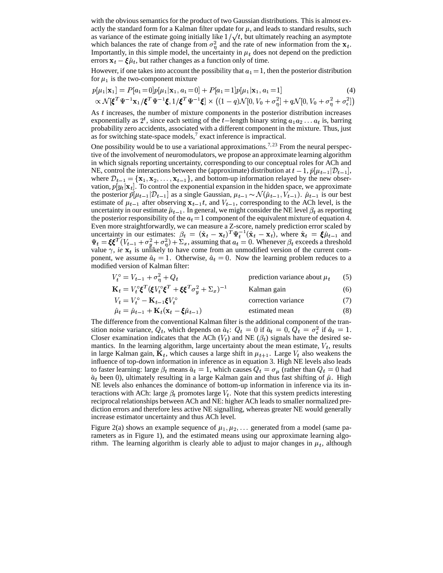with the obvious semantics for the product of two Gaussian distributions. This is almost exactly the standard form for a Kalman filter update for  $\mu$ , and leads to standard results, such as variance of the estimate going initially like  $1/\sqrt{t}$ , but ultimately reaching an asymptote which balances the rate of change from  $\sigma_n^2$  and the rate of new information from the  $x_t$ . Importantly, in this simple model, the uncertainty in  $\mu_t$  does not depend on the prediction errors  $\mathbf{x}_t - \xi \hat{\mu}_t$ , but rather changes as a function only of time.

However, if one takes into account the possibility that  $a_1 = 1$ , then the posterior distribution for  $\mu_1$  is the two-component mixture

$$
p[\mu_1|\mathbf{x}_1] = P[a_1 = 0]p[\mu_1|\mathbf{x}_1, a_1 = 0] + P[a_1 = 1]p[\mu_1|\mathbf{x}_1, a_1 = 1] \tag{4}
$$
  
 
$$
\propto \mathcal{N}[\boldsymbol{\xi}^T \boldsymbol{\Psi}^{-1} \mathbf{x}_1 / \boldsymbol{\xi}^T \boldsymbol{\Psi}^{-1} \boldsymbol{\xi}, 1 / \boldsymbol{\xi}^T \boldsymbol{\Psi}^{-1} \boldsymbol{\xi}] \times \left( (1 - q)\mathcal{N}[0, V_0 + \sigma_{\eta}^2] + q\mathcal{N}[0, V_0 + \sigma_{\eta}^2 + \sigma_{\epsilon}^2] \right)
$$

As t increases, the number of mixture components in the posterior distribution increases exponentially as  $2^t$ , since each setting of the t-length binary string  $a_1a_2 \ldots a_t$  is, barring probability zero accidents, associated with a different component in the mixture. Thus, just as for switching state-space models, $7$  exact inference is impractical.

One possibility would be to use a variational approximations.<sup>7,23</sup> From the neural perspective of the involvement of neuromodulators, we propose an approximate learning algorithm in which signals reporting uncertainty, corresponding to our conceptual roles for ACh and NE, control the interactions between the (approximate) distribution at  $t-1$ ,  $\tilde{p}[\mu_{t-1}|\mathcal{D}_{t-1}]$ , where  $\mathcal{D}_{t-1} = {\mathbf{x}_1, \mathbf{x}_2, \dots, \mathbf{x}_{t-1}}$ , and bottom-up information relayed by the new observation,  $p[y_t | \mathbf{x}_t]$ . To control the exponential expansion in the hidden space, we approximate the posterior  $\tilde{p}[\mu_{t-1}|\mathcal{D}_{t-1}]$  as a single Gaussian,  $\mu_{t-1} \sim \mathcal{N}(\hat{\mu}_{t-1}, V_{t-1})$ .  $\hat{\mu}_{t-1}$  is our best estimate of  $\mu_{t-1}$  after observing  $x_{t-1}$ , and  $V_{t-1}$ , corresponding to the ACh level, is the uncertainty in our estimate  $\hat{\mu}_{t-1}$ . In general, we might consider the NE level  $\beta_t$  as reporting the posterior responsibility of the  $a_t = 1$  component of the equivalent mixture of equation 4. Even more straightforwardly, we can measure a Z-score, namely prediction error scaled by uncertainty in our estimates:  $\beta_t = (\hat{\mathbf{x}}_t - \mathbf{x}_t)^T \Psi_t^{-1} (\hat{\mathbf{x}}_t - \mathbf{x}_t),$  $\mathbf{r}_t^{-1}(\hat{\mathbf{x}}_t - \mathbf{x}_t)$ , where  $\hat{\mathbf{x}}_t = \xi \hat{\mu}_{t-1}$  and  $\Psi_t = \xi \xi^T (V_{t-1} + \sigma_u^2 + \sigma_n^2) + \Sigma_x$ , assuming that  $a_t = 0$ . Whenever  $\beta_t$  exceeds a threshold value  $\gamma$ , *ie*  $\mathbf{x}_t$  is unlikely to have come from an unmodified version of the current component, we assume  $\hat{a}_t = 1$ . Otherwise,  $\hat{a}_t = 0$ . Now the learning problem reduces to a modified version of Kalman filter:

$$
V_t^{\circ} = V_{t-1} + \sigma_{\eta}^2 + Q_t
$$
 prediction variance about  $\mu_t$  (5)

$$
\mathbf{K}_t = V_t^{\circ} \boldsymbol{\xi}^T (\boldsymbol{\xi} V_t^{\circ} \boldsymbol{\xi}^T + \boldsymbol{\xi} \boldsymbol{\xi}^T \sigma_y^2 + \boldsymbol{\Sigma}_x)^{-1} \quad \text{Kalman gain} \tag{6}
$$

$$
V_t = V_t^{\circ} - \mathbf{K}_{t-1} \boldsymbol{\xi} V_t^{\circ}
$$
correction variance  
\n
$$
\hat{\mu}_t = \hat{\mu}_{t-1} + \mathbf{K}_t (\mathbf{x}_t - \boldsymbol{\xi} \hat{\mu}_{t-1})
$$
 estimated mean (8)

The difference from the conventional Kalman filter is the additional component of the transition noise variance,  $Q_t$ , which depends on  $\hat{a}_t$ :  $Q_t = 0$  if  $\hat{a}_t = 0$ ,  $Q_t = \sigma_{\epsilon}^2$  if  $\hat{a}_t = 1$ . Closer examination indicates that the ACh  $(V_t)$  and NE  $(\beta_t)$  signals have the desired semantics. In the learning algorithm, large uncertainty about the mean estimate,  $V_t$ , results in large Kalman gain,  $\mathbf{K}_t$ , which causes a large shift in  $\mu_{t+1}$ . Large  $V_t$  also weakens the influence of top-down information in inference as in equation 3. High NE levels also leads to faster learning: large  $\beta_t$  means  $\hat{a}_t = 1$ , which causes  $Q_t = \sigma_\mu$  (rather than  $Q_t = 0$  had  $\hat{a}_t$  been 0), ultimately resulting in a large Kalman gain and thus fast shifting of  $\hat{\mu}$ . High NE levels also enhances the dominance of bottom-up information in inference via its interactions with ACh: large  $\beta_t$  promotes large  $V_t$ . Note that this system predicts interesting reciprocal relationships between ACh and NE: higher ACh leads to smaller normalized prediction errors and therefore less active NE signalling, whereas greater NE would generally increase estimator uncertainty and thus ACh level.

Figure 2(a) shows an example sequence of  $\mu_1, \mu_2, \ldots$  generated from a model (same parameters as in Figure 1), and the estimated means using our approximate learning algorithm. The learning algorithm is clearly able to adjust to major changes in  $\mu_t$ , although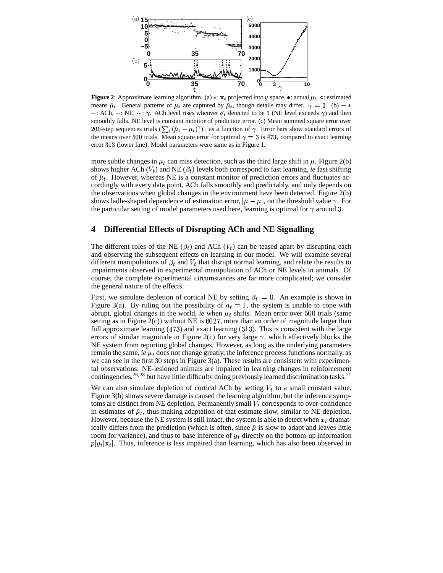

**Figure 2**: Approximate learning algorithm. (a)  $x: x_t$  projected into y space,  $\bullet$ : actual  $\mu_t$ ,  $\circ$ : estimated means  $\hat{\mu}_t$ . General patterns of  $\mu_t$  are captured by  $\hat{\mu}_t$ , though details may differ.  $\gamma = 3$ . (b)  $-$ : ACh,  $-$ : NE,  $\cdots$ :  $\gamma$ . ACh level rises whenver  $\hat{a}_t$  detected to be 1 (NE level exceeds  $\gamma$ ) and then smoothly falls. NE level is constant monitor of prediction error. (c) Mean summed square error over 200-step sequences trials  $(\sum_{i} (\hat{\mu}_i - \mu_i)^2 )$ , as a function of  $\gamma$ . Error bars show standard errors of the means over 500 trials. Mean square error for optimal  $\gamma = 3$  is 473, compared to exact learning error 313 (lower line). Model parameters were same as in Figure 1.

more subtle changes in  $\mu_t$  can miss detection, such as the third large shift in  $\mu$ . Figure 2(b) shows higher ACh  $(V_t)$  and NE  $(\beta_t)$  levels both correspond to fast learning, *ie* fast shifting of  $\hat{\mu}_t$ . However, whereas NE is a constant monitor of prediction errors and fluctuates accordingly with every data point, ACh falls smoothly and predictably, and only depends on the observations when global changes in the environment have been detected. Figure 2(b) shows ladle-shaped dependence of estimation error,  $|\hat{\mu} - \mu|$ , on the threshold value  $\gamma$ . For the particular setting of model parameters used here, learning is optimal for  $\gamma$  around 3.

### **4 Differential Effects of Disrupting ACh and NE Signalling**

The different roles of the NE  $(\beta_t)$  and ACh  $(V_t)$  can be teased apart by disrupting each and observing the subsequent effects on learning in our model. We will examine several different manipulations of  $\beta_t$  and  $V_t$  that disrupt normal learning, and relate the results to impairments observed in experimental manipulation of ACh or NE levels in animals. Of course, the complete experimental circumstances are far more complicated; we consider the general nature of the effects.

First, we simulate depletion of cortical NE by setting  $\beta_t = 0$ . An example is shown in Figure 3(a). By ruling out the possibility of  $a_t = 1$ , the system is unable to cope with abrupt, global changes in the world, *ie* when  $\mu_t$  shifts. Mean error over 500 trials (same setting as in Figure  $2(c)$ ) without NE is  $6027$ , more than an order of magnitude larger than full approximate learning  $(473)$  and exact learning  $(313)$ . This is consistent with the large errors of similar magnitude in Figure 2(c) for very large  $\gamma$ , which effectively blocks the NE system from reporting global changes. However, as long as the underlying parameters remain the same, *ie*  $\mu_t$  does not change greatly, the inference process functions normally, as we can see in the first  $30$  steps in Figure  $3(a)$ . These results are consistent with experimental observations: NE-lesioned animals are impaired in learning changes in reinforcement contingencies,<sup>26, 28</sup> but have little difficulty doing previously learned discrimination tasks.<sup>21</sup>

We can also simulate depletion of cortical ACh by setting  $V_t$  to a small constant value. Figure 3(b) shows severe damage is caused the learning algorithm, but the inference symptoms are distinct from NE depletion. Permanently small  $V_t$  corresponds to over-confidence in estimates of  $\hat{\mu}_t$ , thus making adaptation of that estimate slow, similar to NE depletion. However, because the NE system is still intact, the system is able to detect when  $x_t$  dramatically differs from the prediction (which is often, since  $\hat{\mu}$  is slow to adapt and leaves little room for variance), and thus to base inference of  $y_t$  directly on the bottom-up information  $p[y_t | \mathbf{x}_t]$ . Thus, inference is less impaired than learning, which has also been observed in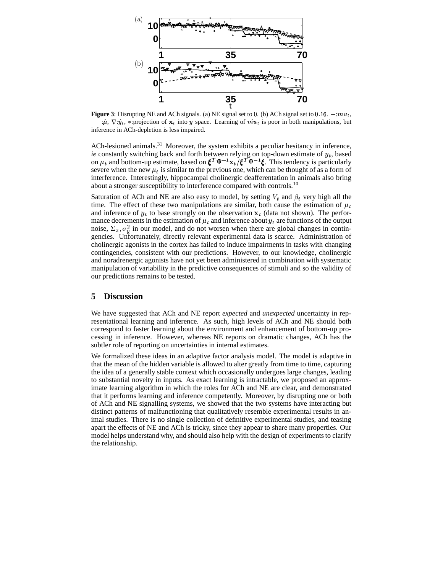

**Figure 3**: Disrupting NE and ACh signals. (a) NE signal set to 0. (b) ACh signal set to  $0.16. - :mu_t$ ,  $-\hat{\mu}$ ,  $\nabla \hat{y}_t$ , \*:projection of  $\mathbf{x}_t$  into y space. Learning of  $\hat{m}u_t$  is poor in both manipulations, but inference in ACh-depletion is less impaired.

ACh-lesioned animals.<sup>31</sup> Moreover, the system exhibits a peculiar hesitancy in inference, *ie* constantly switching back and forth between relying on top-down estimate of  $y_t$ , based on  $\mu_t$  and bottom-up estimate, based on  $\boldsymbol{\xi}^T \Psi^{-1} \mathbf{x}_t / \boldsymbol{\xi}^T \Psi^{-1} \boldsymbol{\xi}$  $\mathbf{x}_t/\xi^T \Psi^{-1}\xi$ . This tend  $^{-1}$  $\xi$ . This tendency is particularly severe when the new  $\mu_t$  is similar to the previous one, which can be thought of as a form of interference. Interestingly, hippocampal cholinergic deafferentation in animals also bring about a stronger susceptibility to interference compared with controls.<sup>10</sup>

Saturation of ACh and NE are also easy to model, by setting  $V_t$  and  $\beta_t$  very high all the time. The effect of these two manipulations are similar, both cause the estimation of  $\mu_t$ and inference of  $y_t$  to base strongly on the observation  $x_t$  (data not shown). The performance decrements in the estimation of  $\mu_t$  and inference about  $y_t$  are functions of the output noise,  $\Sigma_x, \sigma_u^2$  in our model, and do not worsen when there are global changes in contingencies. Unfortunately, directly relevant experimental data is scarce. Administration of cholinergic agonists in the cortex has failed to induce impairments in tasks with changing contingencies, consistent with our predictions. However, to our knowledge, cholinergic and noradrenergic agonists have not yet been administered in combination with systematic manipulation of variability in the predictive consequences of stimuli and so the validity of our predictions remains to be tested.

### **5 Discussion**

We have suggested that ACh and NE report *expected* and *unexpected* uncertainty in representational learning and inference. As such, high levels of ACh and NE should both correspond to faster learning about the environment and enhancement of bottom-up processing in inference. However, whereas NE reports on dramatic changes, ACh has the subtler role of reporting on uncertainties in internal estimates.

We formalized these ideas in an adaptive factor analysis model. The model is adaptive in that the mean of the hidden variable is allowed to alter greatly from time to time, capturing the idea of a generally stable context which occasionally undergoes large changes, leading to substantial novelty in inputs. As exact learning is intractable, we proposed an approximate learning algorithm in which the roles for ACh and NE are clear, and demonstrated that it performs learning and inference competently. Moreover, by disrupting one or both of ACh and NE signalling systems, we showed that the two systems have interacting but distinct patterns of malfunctioning that qualitatively resemble experimental results in animal studies. There is no single collection of definitive experimental studies, and teasing apart the effects of NE and ACh is tricky, since they appear to share many properties. Our model helps understand why, and should also help with the design of experiments to clarify the relationship.